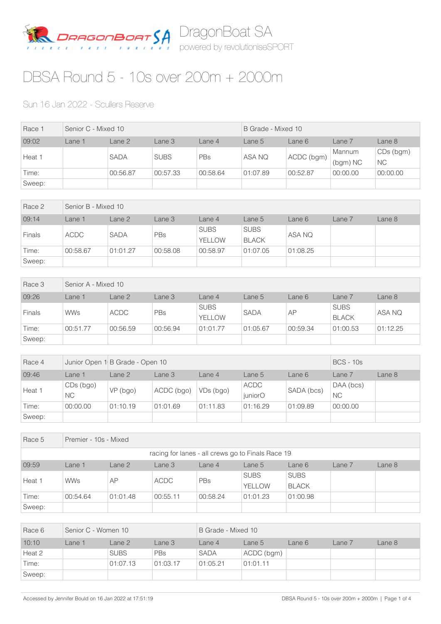

## DBSA Round 5 - 10s over 200m + 2000m

## Sun 16 Jan 2022 - Scullers Reserve

| Race 1 | Senior C - Mixed 10 |             |             | B Grade - Mixed 10 |          |            |                    |                        |
|--------|---------------------|-------------|-------------|--------------------|----------|------------|--------------------|------------------------|
| 09:02  | Lane 1              | Lane 2      | Lane 3      | Lane 4             | Lane 5   | Lane 6     | Lane 7             | Lane 8                 |
| Heat 1 |                     | <b>SADA</b> | <b>SUBS</b> | PBs                | ASA NQ   | ACDC (bgm) | Mannum<br>(bgm) NC | CDs (bgm)<br><b>NC</b> |
| Time:  |                     | 00:56.87    | 00:57.33    | 00:58.64           | 01:07.89 | 00:52.87   | 00:00.00           | 00:00.00               |
| Sweep: |                     |             |             |                    |          |            |                    |                        |

| Race 2        |             | Senior B - Mixed 10 |            |                       |                             |          |        |        |  |  |  |
|---------------|-------------|---------------------|------------|-----------------------|-----------------------------|----------|--------|--------|--|--|--|
| 09:14         | Lane 1      | Lane 2              | Lane 3     | Lane 4                | Lane 5                      | Lane 6   | Lane 7 | Lane 8 |  |  |  |
| <b>Finals</b> | <b>ACDC</b> | <b>SADA</b>         | <b>PBs</b> | <b>SUBS</b><br>YELLOW | <b>SUBS</b><br><b>BLACK</b> | ASA NQ   |        |        |  |  |  |
| Time:         | 00:58.67    | 01:01.27            | 00:58.08   | 00:58.97              | 01:07.05                    | 01:08.25 |        |        |  |  |  |
| Sweep:        |             |                     |            |                       |                             |          |        |        |  |  |  |

| Race 3        | Senior A - Mixed 10 |             |          |                              |             |          |                             |          |  |  |
|---------------|---------------------|-------------|----------|------------------------------|-------------|----------|-----------------------------|----------|--|--|
| 09:26         | ane 1               | Lane 2      | Lane 3   | Lane 4                       | Lane 5      | Lane 6   | Lane 7                      | Lane 8   |  |  |
| <b>Finals</b> | <b>WWs</b>          | <b>ACDC</b> | PBs      | <b>SUBS</b><br><b>YELLOW</b> | <b>SADA</b> | AP       | <b>SUBS</b><br><b>BLACK</b> | ASA NQ   |  |  |
| Time:         | 00:51.77            | 00:56.59    | 00:56.94 | 01:01.77                     | 01:05.67    | 00:59.34 | 01:00.53                    | 01:12.25 |  |  |
| Sweep:        |                     |             |          |                              |             |          |                             |          |  |  |

| Race 4 |                        | Junior Open 1 B Grade - Open 10 |            | <b>BCS - 10s</b> |                        |            |                        |        |
|--------|------------------------|---------------------------------|------------|------------------|------------------------|------------|------------------------|--------|
| 09:46  | Lane 1                 | Lane 2                          | Lane 3     | Lane 4           | Lane 5                 | Lane 6     | Lane 7                 | Lane 8 |
| Heat 1 | CDs (bgo)<br><b>NC</b> | VP (bgo)                        | ACDC (bgo) | VDs (bgo)        | <b>ACDC</b><br>juniorO | SADA (bcs) | DAA (bcs)<br><b>NC</b> |        |
| Time:  | 00:00.00               | 01:10.19                        | 01:01.69   | 01:11.83         | 01:16.29               | 01:09.89   | 00:00.00               |        |
| Sweep: |                        |                                 |            |                  |                        |            |                        |        |

| Race 5                                            | Premier - 10s - Mixed |                                                                      |             |          |                       |                             |  |  |  |  |  |  |
|---------------------------------------------------|-----------------------|----------------------------------------------------------------------|-------------|----------|-----------------------|-----------------------------|--|--|--|--|--|--|
| racing for lanes - all crews go to Finals Race 19 |                       |                                                                      |             |          |                       |                             |  |  |  |  |  |  |
| 09:59                                             | Lane 1                | Lane 8<br>Lane 2<br>Lane 3<br>Lane $4$<br>Lane 6<br>Lane 7<br>Lane 5 |             |          |                       |                             |  |  |  |  |  |  |
| Heat 1                                            | <b>WWs</b>            | AP                                                                   | <b>ACDC</b> | PBs      | <b>SUBS</b><br>YELLOW | <b>SUBS</b><br><b>BLACK</b> |  |  |  |  |  |  |
| Time:                                             | 00:54.64              | 01:01.48                                                             | 00:55.11    | 00:58.24 | 01:01.23              | 01:00.98                    |  |  |  |  |  |  |
| Sweep:                                            |                       |                                                                      |             |          |                       |                             |  |  |  |  |  |  |

| Race 6 | Senior C - Women 10 |             |            | B Grade - Mixed 10 |            |        |        |        |  |
|--------|---------------------|-------------|------------|--------------------|------------|--------|--------|--------|--|
| 10:10  | Lane 1              | Lane 2      | Lane 3     | Lane 4             | Lane 5     | Lane 6 | Lane 7 | Lane 8 |  |
| Heat 2 |                     | <b>SUBS</b> | <b>PBs</b> | <b>SADA</b>        | ACDC (bgm) |        |        |        |  |
| Time:  |                     | 01:07.13    | 01:03.17   | 01:05.21           | 01:01.11   |        |        |        |  |
| Sweep: |                     |             |            |                    |            |        |        |        |  |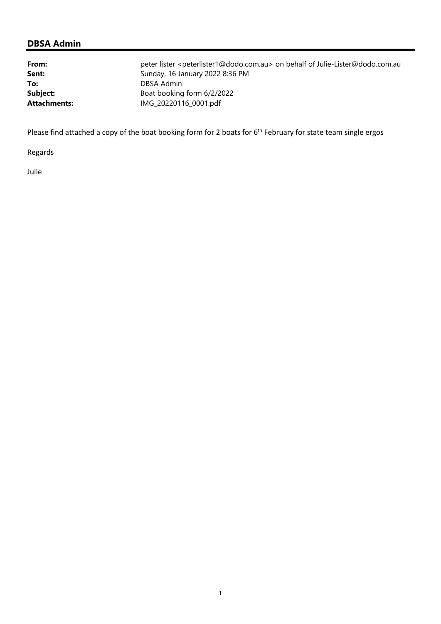## **DBSA Admin**

| From:        | peter lister <peterlister1@dodo.com.au> on behalf of Julie-Lister@dodo.com.au</peterlister1@dodo.com.au> |
|--------------|----------------------------------------------------------------------------------------------------------|
| Sent:        | Sunday, 16 January 2022 8:36 PM                                                                          |
| To:          | DBSA Admin                                                                                               |
| Subject:     | Boat booking form 6/2/2022                                                                               |
| Attachments: | IMG_20220116_0001.pdf                                                                                    |

Please find attached a copy of the boat booking form for 2 boats for 6<sup>th</sup> February for state team single ergos

Regards

Julie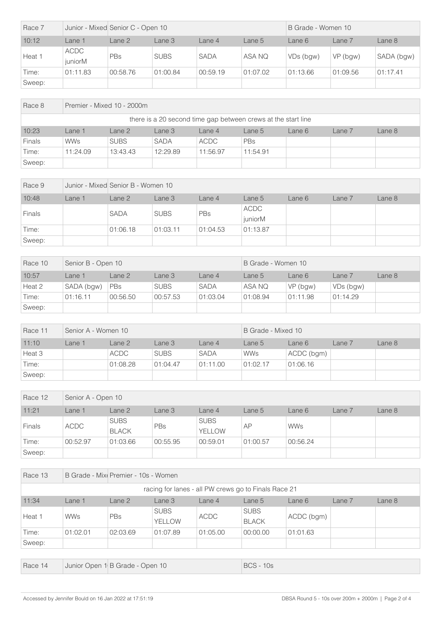| Race 7 |                 | Junior - Mixed Senior C - Open 10 |             |             | B Grade - Women 10 |           |            |            |
|--------|-----------------|-----------------------------------|-------------|-------------|--------------------|-----------|------------|------------|
| 10:12  | $L$ ane 1       | Lane 2                            | Lane 3      | Lane 4      | Lane 5             | Lane 6    | Lane 7     | Lane 8     |
| Heat 1 | ACDC<br>iuniorM | PBs                               | <b>SUBS</b> | <b>SADA</b> | ASA NQ             | VDs (bgw) | $VP$ (bgw) | SADA (bgw) |
| Time:  | 01:11.83        | 00:58.76                          | 01:00.84    | 00:59.19    | 01:07.02           | 01:13.66  | 01:09.56   | 01:17.41   |
| Sweep: |                 |                                   |             |             |                    |           |            |            |

| Race 8 |                                                               | Premier - Mixed 10 - 2000m                                           |             |             |          |  |  |  |  |  |  |
|--------|---------------------------------------------------------------|----------------------------------------------------------------------|-------------|-------------|----------|--|--|--|--|--|--|
|        | there is a 20 second time gap between crews at the start line |                                                                      |             |             |          |  |  |  |  |  |  |
| 10:23  | Lane 1                                                        | Lane 3<br>Lane 8<br>Lane 2<br>Lane $4$<br>Lane 6<br>Lane 7<br>Lane 5 |             |             |          |  |  |  |  |  |  |
| Finals | <b>WWs</b>                                                    | <b>SUBS</b>                                                          | <b>SADA</b> | <b>ACDC</b> | PBs      |  |  |  |  |  |  |
| Time:  | 11:24.09                                                      | 13:43.43                                                             | 12:29.89    | 11:56.97    | 11:54.91 |  |  |  |  |  |  |
| Sweep: |                                                               |                                                                      |             |             |          |  |  |  |  |  |  |

| Race 9        |        | Junior - Mixed Senior B - Women 10 |             |          |                        |        |        |        |
|---------------|--------|------------------------------------|-------------|----------|------------------------|--------|--------|--------|
| 10:48         | Lane 1 | Lane 2                             | Lane 3      | Lane 4   | Lane 5                 | Lane 6 | Lane 7 | Lane 8 |
| <b>Finals</b> |        | <b>SADA</b>                        | <b>SUBS</b> | PBs      | <b>ACDC</b><br>juniorM |        |        |        |
| Time:         |        | 01:06.18                           | 01:03.11    | 01:04.53 | 01:13.87               |        |        |        |
| Sweep:        |        |                                    |             |          |                        |        |        |        |

| Race 10 | Senior B - Open 10 |            |             |             | B Grade - Women 10 |          |           |        |
|---------|--------------------|------------|-------------|-------------|--------------------|----------|-----------|--------|
| 10:57   | <sub>-</sub> ane 1 | Lane 2     | Lane 3      | Lane $4$    | Lane 5             | Lane 6   | Lane 7    | Lane 8 |
| Heat 2  | SADA (bgw)         | <b>PBs</b> | <b>SUBS</b> | <b>SADA</b> | ASA NQ             | VP (bgw) | VDs (bgw) |        |
| Time:   | 01:16.11           | 00:56.50   | 00:57.53    | 01:03.04    | 01:08.94           | 01:11.98 | 01:14.29  |        |
| Sweep:  |                    |            |             |             |                    |          |           |        |

| Race 11 | Senior A - Women 10 |             |             |             | B Grade - Mixed 10 |            |        |        |
|---------|---------------------|-------------|-------------|-------------|--------------------|------------|--------|--------|
| 11:10   | Lane 1              | Lane 2      | Lane 3      | Lane $4$    | Lane 5             | Lane 6     | Lane 7 | Lane 8 |
| Heat 3  |                     | <b>ACDC</b> | <b>SUBS</b> | <b>SADA</b> | <b>WWs</b>         | ACDC (bgm) |        |        |
| Time:   |                     | 01:08.28    | 01:04.47    | 01:11.00    | 01:02.17           | 01:06.16   |        |        |
| Sweep:  |                     |             |             |             |                    |            |        |        |

| Race 12       | Senior A - Open 10 |                             |          |                              |          |            |        |        |  |  |
|---------------|--------------------|-----------------------------|----------|------------------------------|----------|------------|--------|--------|--|--|
| 11:21         | Lane 1             | Lane 2                      | Lane 3   | Lane 4                       | Lane 5   | Lane 6     | Lane 7 | Lane 8 |  |  |
| <b>Finals</b> | <b>ACDC</b>        | <b>SUBS</b><br><b>BLACK</b> | PBs      | <b>SUBS</b><br><b>YELLOW</b> | AP       | <b>WWs</b> |        |        |  |  |
| Time:         | 00:52.97           | 01:03.66                    | 00:55.95 | 00:59.01                     | 01:00.57 | 00:56.24   |        |        |  |  |
| Sweep:        |                    |                             |          |                              |          |            |        |        |  |  |

| Race 13                                              |            | B Grade - Mixi Premier - 10s - Women |                              |             |                             |            |        |        |  |  |
|------------------------------------------------------|------------|--------------------------------------|------------------------------|-------------|-----------------------------|------------|--------|--------|--|--|
| racing for lanes - all PW crews go to Finals Race 21 |            |                                      |                              |             |                             |            |        |        |  |  |
| 11:34                                                | Lane 1     | Lane 2                               | Lane 3                       | Lane $4$    | Lane 5                      | Lane 6     | Lane 7 | Lane 8 |  |  |
| Heat 1                                               | <b>WWs</b> | <b>PBs</b>                           | <b>SUBS</b><br><b>YELLOW</b> | <b>ACDC</b> | <b>SUBS</b><br><b>BLACK</b> | ACDC (bgm) |        |        |  |  |
| Time:                                                | 01:02.01   | 02:03.69                             | 01:07.89                     | 01:05.00    | 00:00.00                    | 01:01.63   |        |        |  |  |
| Sweep:                                               |            |                                      |                              |             |                             |            |        |        |  |  |

| Race 14 | Junior Open 1 B Grade - Open 10 | <b>BCS - 10s</b> |
|---------|---------------------------------|------------------|
|---------|---------------------------------|------------------|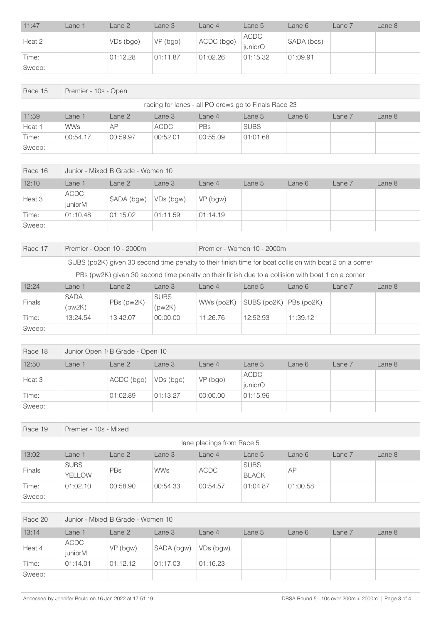| 11:47  | Lane 1 | Lane 2    | Lane 3   | Lane 4     | Lane 5                 | Lane 6     | $Lane$ $7$ | Lane 8 |
|--------|--------|-----------|----------|------------|------------------------|------------|------------|--------|
| Heat 2 |        | VDs (bgo) | VP (bgo) | ACDC (bgo) | <b>ACDC</b><br>juniorO | SADA (bcs) |            |        |
| Time:  |        | 01:12.28  | 01:11.87 | 01:02.26   | 01:15.32               | 01:09.91   |            |        |
| Sweep: |        |           |          |            |                        |            |            |        |

| Race 15 |                                                      | Premier - 10s - Open                                               |             |          |             |  |  |  |  |  |  |  |
|---------|------------------------------------------------------|--------------------------------------------------------------------|-------------|----------|-------------|--|--|--|--|--|--|--|
|         | racing for lanes - all PO crews go to Finals Race 23 |                                                                    |             |          |             |  |  |  |  |  |  |  |
| 11:59   | Lane 1                                               | Lane 2<br>Lane 8<br>Lane 3<br>Lane 7<br>Lane 4<br>Lane 5<br>Lane 6 |             |          |             |  |  |  |  |  |  |  |
| Heat 1  | <b>WWs</b>                                           | AP                                                                 | <b>ACDC</b> | PBs      | <b>SUBS</b> |  |  |  |  |  |  |  |
| Time:   | 00:54.17                                             | 00:59.97                                                           | 00:52.01    | 00:55.09 | 01:01.68    |  |  |  |  |  |  |  |
| Sweep:  |                                                      |                                                                    |             |          |             |  |  |  |  |  |  |  |

| Race 16 | Junior - Mixed B Grade - Women 10 |            |           |            |        |        |        |        |  |
|---------|-----------------------------------|------------|-----------|------------|--------|--------|--------|--------|--|
| 12:10   | Lane 1                            | Lane 2     | Lane 3    | Lane 4     | Lane 5 | Lane 6 | Lane 7 | Lane 8 |  |
| Heat 3  | ACDC<br>juniorM                   | SADA (bgw) | VDs (bgw) | $VP$ (bgw) |        |        |        |        |  |
| Time:   | 01:10.48                          | 01:15.02   | 01:11.59  | 01:14.19   |        |        |        |        |  |
| Sweep:  |                                   |            |           |            |        |        |        |        |  |

| Race 17       | Premier - Open 10 - 2000m |                                                                                                    |                       | Premier - Women 10 - 2000m                                                                               |                            |          |        |        |  |
|---------------|---------------------------|----------------------------------------------------------------------------------------------------|-----------------------|----------------------------------------------------------------------------------------------------------|----------------------------|----------|--------|--------|--|
|               |                           |                                                                                                    |                       | SUBS (po2K) given 30 second time penalty to their finish time for boat collision with boat 2 on a corner |                            |          |        |        |  |
|               |                           | PBs (pw2K) given 30 second time penalty on their finish due to a collision with boat 1 on a corner |                       |                                                                                                          |                            |          |        |        |  |
| 12:24         | Lane 1                    | Lane 2                                                                                             | Lane <sub>3</sub>     | Lane $4$                                                                                                 | Lane 5                     | Lane 6   | Lane 7 | Lane 8 |  |
| <b>Finals</b> | <b>SADA</b><br>(pw2K)     | PBs (pw2K)                                                                                         | <b>SUBS</b><br>(pw2K) | WWs (po2K)                                                                                               | SUBS $(po2K)$ PBs $(po2K)$ |          |        |        |  |
| Time:         | 13:24.54                  | 13:42.07                                                                                           | 00:00.00              | 11:26.76                                                                                                 | 12:52.93                   | 11:39.12 |        |        |  |
| Sweep:        |                           |                                                                                                    |                       |                                                                                                          |                            |          |        |        |  |

| Race 18 |        | Junior Open 1 B Grade - Open 10                                    |              |          |          |  |  |  |  |  |
|---------|--------|--------------------------------------------------------------------|--------------|----------|----------|--|--|--|--|--|
| 12:50   | Lane 1 | Lane 2<br>Lane 8<br>Lane 3<br>Lane 5<br>Lane 7<br>Lane 6<br>Lane 4 |              |          |          |  |  |  |  |  |
| Heat 3  |        | ACDC (bgo)                                                         |              |          | ACDC     |  |  |  |  |  |
|         |        |                                                                    | $ VDs$ (bgo) | VP (bgo) | juniorO  |  |  |  |  |  |
| Time:   |        | 01:02.89                                                           | 01:13.27     | 00:00.00 | 01:15.96 |  |  |  |  |  |
| Sweep:  |        |                                                                    |              |          |          |  |  |  |  |  |

| Race 19                   | Premier - 10s - Mixed        |                                                                    |            |             |                             |          |  |  |  |  |  |  |
|---------------------------|------------------------------|--------------------------------------------------------------------|------------|-------------|-----------------------------|----------|--|--|--|--|--|--|
| lane placings from Race 5 |                              |                                                                    |            |             |                             |          |  |  |  |  |  |  |
| 13:02                     | Lane 1                       | Lane 2<br>Lane 3<br>Lane 7<br>Lane 8<br>Lane 6<br>Lane 4<br>Lane 5 |            |             |                             |          |  |  |  |  |  |  |
| Finals                    | <b>SUBS</b><br><b>YELLOW</b> | PBs                                                                | <b>WWs</b> | <b>ACDC</b> | <b>SUBS</b><br><b>BLACK</b> | AP       |  |  |  |  |  |  |
| Time:                     | 01:02.10                     | 00:58.90                                                           | 00:54.33   | 00:54.57    | 01:04.87                    | 01:00.58 |  |  |  |  |  |  |
| Sweep:                    |                              |                                                                    |            |             |                             |          |  |  |  |  |  |  |

| Race 20 |                        | Junior - Mixed B Grade - Women 10 |            |           |        |        |        |        |  |  |
|---------|------------------------|-----------------------------------|------------|-----------|--------|--------|--------|--------|--|--|
| 13:14   | Lane 1                 | Lane 2                            | Lane 3     | Lane 4    | Lane 5 | Lane 6 | Lane 7 | Lane 8 |  |  |
| Heat 4  | <b>ACDC</b><br>juniorM | $VP$ (bgw)                        | SADA (bgw) | VDs (bgw) |        |        |        |        |  |  |
| Time:   | 01:14.01               | 01:12.12                          | 01:17.03   | 01:16.23  |        |        |        |        |  |  |
| Sweep:  |                        |                                   |            |           |        |        |        |        |  |  |